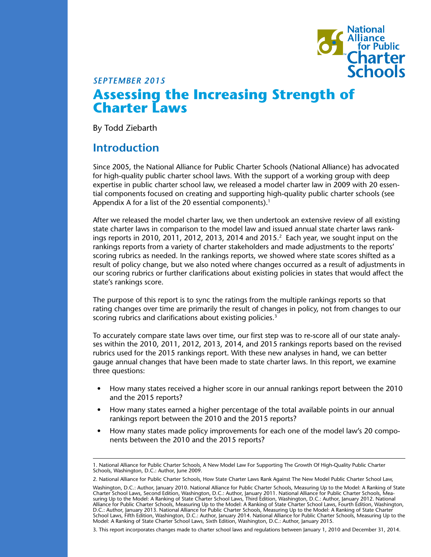

# **Assessing the Increasing Strength of Charter Laws** *SEPTEMBER 2015*

By Todd Ziebarth

### **Introduction**

Since 2005, the National Alliance for Public Charter Schools (National Alliance) has advocated for high-quality public charter school laws. With the support of a working group with deep expertise in public charter school law, we released a model charter law in 2009 with 20 essential components focused on creating and supporting high-quality public charter schools (see Appendix A for a list of the 20 essential components).<sup>1</sup>

After we released the model charter law, we then undertook an extensive review of all existing state charter laws in comparison to the model law and issued annual state charter laws rankings reports in 2010, 2011, 2012, 2013, 2014 and 2015. $^2$  Each year, we sought input on the rankings reports from a variety of charter stakeholders and made adjustments to the reports' scoring rubrics as needed. In the rankings reports, we showed where state scores shifted as a result of policy change, but we also noted where changes occurred as a result of adjustments in our scoring rubrics or further clarifications about existing policies in states that would affect the state's rankings score.

The purpose of this report is to sync the ratings from the multiple rankings reports so that rating changes over time are primarily the result of changes in policy, not from changes to our scoring rubrics and clarifications about existing policies.<sup>3</sup>

To accurately compare state laws over time, our first step was to re-score all of our state analyses within the 2010, 2011, 2012, 2013, 2014, and 2015 rankings reports based on the revised rubrics used for the 2015 rankings report. With these new analyses in hand, we can better gauge annual changes that have been made to state charter laws. In this report, we examine three questions:

- How many states received a higher score in our annual rankings report between the 2010 and the 2015 reports?
- How many states earned a higher percentage of the total available points in our annual rankings report between the 2010 and the 2015 reports?
- How many states made policy improvements for each one of the model law's 20 components between the 2010 and the 2015 reports?

<sup>1.</sup> National Alliance for Public Charter Schools, A New Model Law For Supporting The Growth Of High-Quality Public Charter Schools, Washington, D.C.: Author, June 2009.

<sup>2.</sup> National Alliance for Public Charter Schools, How State Charter Laws Rank Against The New Model Public Charter School Law,

Washington, D.C.: Author, January 2010. National Alliance for Public Charter Schools, Measuring Up to the Model: A Ranking of State Charter School Laws, Second Edition, Washington, D.C.: Author, January 2011. National Alliance for Public Charter Schools, Measuring Up to the Model: A Ranking of State Charter School Laws, Third Edition, Washington, D.C.: Author, January 2012. National Alliance for Public Charter Schools, Measuring Up to the Model: A Ranking of State Charter School Laws, Fourth Edition, Washington, D.C.: Author, January 2013. National Alliance for Public Charter Schools, Measuring Up to the Model: A Ranking of State Charter School Laws, Fifth Edition, Washington, D.C.: Author, January 2014. National Alliance for Public Charter Schools, Measuring Up to the Model: A Ranking of State Charter School Laws, Sixth Edition, Washington, D.C.: Author, January 2015.

<sup>3.</sup> This report incorporates changes made to charter school laws and regulations between January 1, 2010 and December 31, 2014.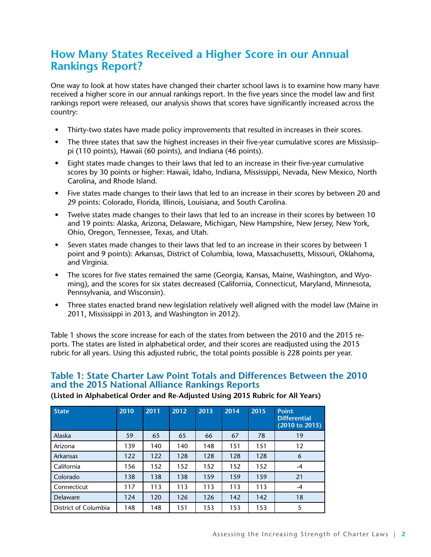# **How Many States Received a Higher Score in our Annual Rankings Report?**

One way to look at how states have changed their charter school laws is to examine how many have received a higher score in our annual rankings report. In the five years since the model law and first rankings report were released, our analysis shows that scores have significantly increased across the country:

- Thirty-two states have made policy improvements that resulted in increases in their scores.
- The three states that saw the highest increases in their five-year cumulative scores are Mississippi (110 points), Hawaii (60 points), and Indiana (46 points).
- Eight states made changes to their laws that led to an increase in their five-year cumulative scores by 30 points or higher: Hawaii, Idaho, Indiana, Mississippi, Nevada, New Mexico, North Carolina, and Rhode Island.
- Five states made changes to their laws that led to an increase in their scores by between 20 and 29 points: Colorado, Florida, Illinois, Louisiana, and South Carolina.
- Twelve states made changes to their laws that led to an increase in their scores by between 10 and 19 points: Alaska, Arizona, Delaware, Michigan, New Hampshire, New Jersey, New York, Ohio, Oregon, Tennessee, Texas, and Utah.
- Seven states made changes to their laws that led to an increase in their scores by between 1 point and 9 points): Arkansas, District of Columbia, Iowa, Massachusetts, Missouri, Oklahoma, and Virginia.
- The scores for five states remained the same (Georgia, Kansas, Maine, Washington, and Wyoming), and the scores for six states decreased (California, Connecticut, Maryland, Minnesota, Pennsylvania, and Wisconsin).
- Three states enacted brand new legislation relatively well aligned with the model law (Maine in 2011, Mississippi in 2013, and Washington in 2012).

Table 1 shows the score increase for each of the states from between the 2010 and the 2015 reports. The states are listed in alphabetical order, and their scores are readjusted using the 2015 rubric for all years. Using this adjusted rubric, the total points possible is 228 points per year.

#### **Table 1: State Charter Law Point Totals and Differences Between the 2010 and the 2015 National Alliance Rankings Reports**

| <b>State</b>         | 2010 | 2011 | 2012 | 2013 | 2014 | 2015 | <b>Point</b><br><b>Differential</b><br>(2010 to 2015) |
|----------------------|------|------|------|------|------|------|-------------------------------------------------------|
| Alaska               | 59   | 65   | 65   | 66   | 67   | 78   | 19                                                    |
| Arizona              | 139  | 140  | 140  | 148  | 151  | 151  | 12                                                    |
| Arkansas             | 122  | 122  | 128  | 128  | 128  | 128  | 6                                                     |
| California           | 156  | 152  | 152  | 152  | 152  | 152  | $-4$                                                  |
| Colorado             | 138  | 138  | 138  | 159  | 159  | 159  | 21                                                    |
| Connecticut          | 117  | 113  | 113  | 113  | 113  | 113  | -4                                                    |
| <b>Delaware</b>      | 124  | 120  | 126  | 126  | 142  | 142  | 18                                                    |
| District of Columbia | 148  | 148  | 151  | 153  | 153  | 153  | 5                                                     |

**(Listed in Alphabetical Order and Re-Adjusted Using 2015 Rubric for All Years)**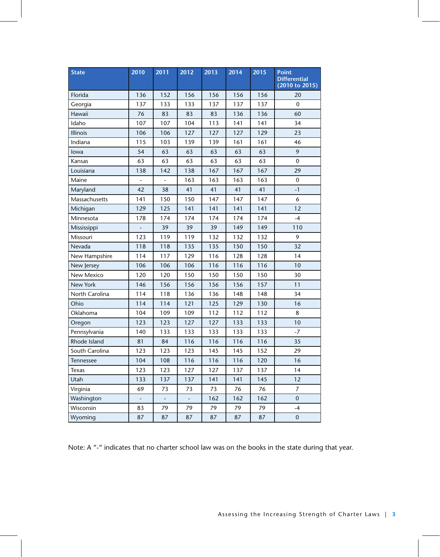| <b>State</b>   | 2010 | 2011 | 2012 | 2013 | 2014 | 2015 | <b>Point</b><br><b>Differential</b><br>(2010 to 2015) |  |
|----------------|------|------|------|------|------|------|-------------------------------------------------------|--|
| Florida        | 136  | 152  | 156  | 156  | 156  | 156  | 20                                                    |  |
| Georgia        | 137  | 133  | 133  | 137  | 137  | 137  | $\mathbf 0$                                           |  |
| Hawaii         | 76   | 83   | 83   | 83   | 136  | 136  | 60                                                    |  |
| Idaho          | 107  | 107  | 104  | 113  | 141  | 141  | 34                                                    |  |
| Illinois       | 106  | 106  | 127  | 127  | 127  | 129  | 23                                                    |  |
| Indiana        | 115  | 103  | 139  | 139  | 161  | 161  | 46                                                    |  |
| lowa           | 54   | 63   | 63   | 63   | 63   | 63   | 9                                                     |  |
| Kansas         | 63   | 63   | 63   | 63   | 63   | 63   | $\mathbf 0$                                           |  |
| Louisiana      | 138  | 142  | 138  | 167  | 167  | 167  | 29                                                    |  |
| Maine          |      |      | 163  | 163  | 163  | 163  | 0                                                     |  |
| Maryland       | 42   | 38   | 41   | 41   | 41   | 41   | $-1$                                                  |  |
| Massachusetts  | 141  | 150  | 150  | 147  | 147  | 147  | 6                                                     |  |
| Michigan       | 129  | 125  | 141  | 141  | 141  | 141  | 12                                                    |  |
| Minnesota      | 178  | 174  | 174  | 174  | 174  | 174  | $-4$                                                  |  |
| Mississippi    |      | 39   | 39   | 39   | 149  | 149  | 110                                                   |  |
| Missouri       | 123  | 119  | 119  | 132  | 132  | 132  | 9                                                     |  |
| Nevada         | 118  | 118  | 135  | 135  | 150  | 150  | 32                                                    |  |
| New Hampshire  | 114  | 117  | 129  | 116  | 128  | 128  | 14                                                    |  |
| New Jersey     | 106  | 106  | 106  | 116  | 116  | 116  | 10                                                    |  |
| New Mexico     | 120  | 120  | 150  | 150  | 150  | 150  | 30                                                    |  |
| New York       | 146  | 156  | 156  | 156  | 156  | 157  | 11                                                    |  |
| North Carolina | 114  | 118  | 136  | 136  | 148  | 148  | 34                                                    |  |
| Ohio           | 114  | 114  | 121  | 125  | 129  | 130  | 16                                                    |  |
| Oklahoma       | 104  | 109  | 109  | 112  | 112  | 112  | 8                                                     |  |
| Oregon         | 123  | 123  | 127  | 127  | 133  | 133  | 10                                                    |  |
| Pennsylvania   | 140  | 133  | 133  | 133  | 133  | 133  | $-7$                                                  |  |
| Rhode Island   | 81   | 84   | 116  | 116  | 116  | 116  | 35                                                    |  |
| South Carolina | 123  | 123  | 123  | 145  | 145  | 152  | 29                                                    |  |
| Tennessee      | 104  | 108  | 116  | 116  | 116  | 120  | 16                                                    |  |
| <b>Texas</b>   | 123  | 123  | 127  | 127  | 137  | 137  | 14                                                    |  |
| Utah           | 133  | 137  | 137  | 141  | 141  | 145  | 12                                                    |  |
| Virginia       | 69   | 73   | 73   | 73   | 76   | 76   | 7                                                     |  |
| Washington     | ۰    | ۳    |      | 162  | 162  | 162  | $\pmb{0}$                                             |  |
| Wisconsin      | 83   | 79   | 79   | 79   | 79   | 79   | $-4$                                                  |  |
| Wyoming        | 87   | 87   | 87   | 87   | 87   | 87   | $\pmb{0}$                                             |  |

Note: A "-" indicates that no charter school law was on the books in the state during that year.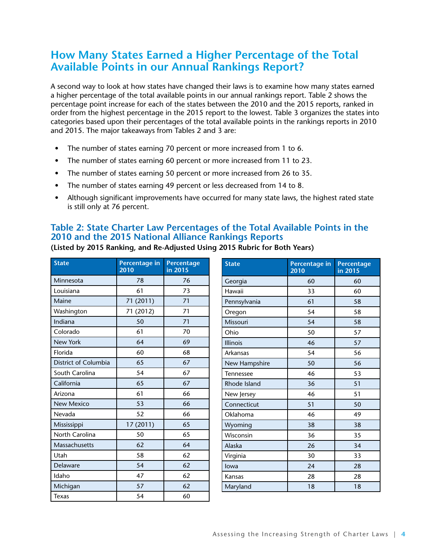### **How Many States Earned a Higher Percentage of the Total Available Points in our Annual Rankings Report?**

A second way to look at how states have changed their laws is to examine how many states earned a higher percentage of the total available points in our annual rankings report. Table 2 shows the percentage point increase for each of the states between the 2010 and the 2015 reports, ranked in order from the highest percentage in the 2015 report to the lowest. Table 3 organizes the states into categories based upon their percentages of the total available points in the rankings reports in 2010 and 2015. The major takeaways from Tables 2 and 3 are:

- The number of states earning 70 percent or more increased from 1 to 6.
- The number of states earning 60 percent or more increased from 11 to 23.
- The number of states earning 50 percent or more increased from 26 to 35.
- The number of states earning 49 percent or less decreased from 14 to 8.
- Although significant improvements have occurred for many state laws, the highest rated state is still only at 76 percent.

#### **Table 2: State Charter Law Percentages of the Total Available Points in the 2010 and the 2015 National Alliance Rankings Reports**

| <b>State</b>         | Percentage in<br>2010 | Percentage<br>in 2015 | <b>State</b>    | <b>Percentage in</b><br>2010 | Percent<br>$in$ 2015 |
|----------------------|-----------------------|-----------------------|-----------------|------------------------------|----------------------|
| Minnesota            | 78                    | 76                    | Georgia         | 60                           | 60                   |
| Louisiana            | 61                    | 73                    | Hawaii          | 33                           | 60                   |
| Maine                | 71 (2011)             | 71                    | Pennsylvania    | 61                           | 58                   |
| Washington           | 71 (2012)             | 71                    | Oregon          | 54                           | 58                   |
| Indiana              | 50                    | 71                    | Missouri        | 54                           | 58                   |
| Colorado             | 61                    | 70                    | Ohio            | 50                           | 57                   |
| New York             | 64                    | 69                    | <b>Illinois</b> | 46                           | 57                   |
| Florida              | 60                    | 68                    | Arkansas        | 54                           | 56                   |
| District of Columbia | 65                    | 67                    | New Hampshire   | 50                           | 56                   |
| South Carolina       | 54                    | 67                    | Tennessee       | 46                           | 53                   |
| California           | 65                    | 67                    | Rhode Island    | 36                           | 51                   |
| Arizona              | 61                    | 66                    | New Jersey      | 46                           | 51                   |
| <b>New Mexico</b>    | 53                    | 66                    | Connecticut     | 51                           | 50                   |
| Nevada               | 52                    | 66                    | Oklahoma        | 46                           | 49                   |
| Mississippi          | 17(2011)              | 65                    | Wyoming         | 38                           | 38                   |
| North Carolina       | 50                    | 65                    | Wisconsin       | 36                           | 35                   |
| Massachusetts        | 62                    | 64                    | Alaska          | 26                           | 34                   |
| Utah                 | 58                    | 62                    | Virginia        | 30                           | 33                   |
| Delaware             | 54                    | 62                    | lowa            | 24                           | 28                   |
| Idaho                | 47                    | 62                    | Kansas          | 28                           | 28                   |
| Michigan             | 57                    | 62                    | Maryland        | 18                           | 18                   |
| <b>Texas</b>         | 54                    | 60                    |                 |                              |                      |

**(Listed by 2015 Ranking, and Re-Adjusted Using 2015 Rubric for Both Years)**

**Percentage in** 

**Percentage in 2015**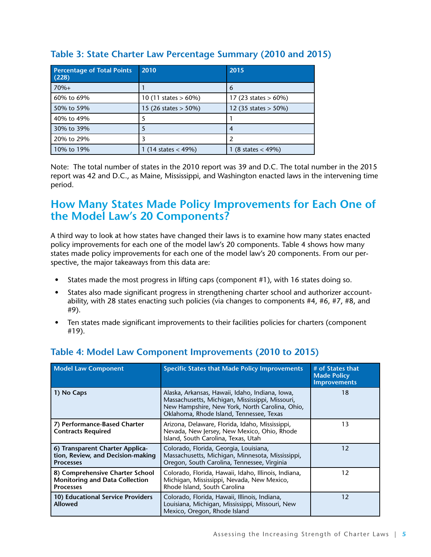| <b>Percentage of Total Points</b><br>(228) | 2010                         | 2015                        |
|--------------------------------------------|------------------------------|-----------------------------|
| $70%+$                                     |                              | 6                           |
| 60% to 69%                                 | 10 (11 states $> 60\%$ )     | 17 (23 states $> 60\%$ )    |
| 50% to 59%                                 | 15 (26 states $>$ 50%)       | 12 (35 states $>$ 50%)      |
| 40% to 49%                                 |                              |                             |
| 30% to 39%                                 |                              | 4                           |
| 20% to 29%                                 |                              |                             |
| 10% to 19%                                 | $(14 \text{ states} < 49\%)$ | $(8 \text{ states} < 49\%)$ |

#### **Table 3: State Charter Law Percentage Summary (2010 and 2015)**

Note: The total number of states in the 2010 report was 39 and D.C. The total number in the 2015 report was 42 and D.C., as Maine, Mississippi, and Washington enacted laws in the intervening time period.

### **How Many States Made Policy Improvements for Each One of the Model Law's 20 Components?**

A third way to look at how states have changed their laws is to examine how many states enacted policy improvements for each one of the model law's 20 components. Table 4 shows how many states made policy improvements for each one of the model law's 20 components. From our perspective, the major takeaways from this data are:

- States made the most progress in lifting caps (component #1), with 16 states doing so.
- States also made significant progress in strengthening charter school and authorizer accountability, with 28 states enacting such policies (via changes to components #4, #6, #7, #8, and #9).
- Ten states made significant improvements to their facilities policies for charters (component #19).

| <b>Model Law Component</b>                                                                   | <b>Specific States that Made Policy Improvements</b>                                                                                                                                             | # of States that<br><b>Made Policy</b><br><b>Improvements</b> |
|----------------------------------------------------------------------------------------------|--------------------------------------------------------------------------------------------------------------------------------------------------------------------------------------------------|---------------------------------------------------------------|
| 1) No Caps                                                                                   | Alaska, Arkansas, Hawaii, Idaho, Indiana, Iowa,<br>Massachusetts, Michigan, Mississippi, Missouri,<br>New Hampshire, New York, North Carolina, Ohio,<br>Oklahoma, Rhode Island, Tennessee, Texas | 18                                                            |
| 7) Performance-Based Charter<br><b>Contracts Required</b>                                    | Arizona, Delaware, Florida, Idaho, Mississippi,<br>Nevada, New Jersey, New Mexico, Ohio, Rhode<br>Island, South Carolina, Texas, Utah                                                            | 13                                                            |
| 6) Transparent Charter Applica-<br>tion, Review, and Decision-making<br><b>Processes</b>     | Colorado, Florida, Georgia, Louisiana,<br>Massachusetts, Michigan, Minnesota, Mississippi,<br>Oregon, South Carolina, Tennessee, Virginia                                                        | 12                                                            |
| 8) Comprehensive Charter School<br><b>Monitoring and Data Collection</b><br><b>Processes</b> | Colorado, Florida, Hawaii, Idaho, Illinois, Indiana,<br>Michigan, Mississippi, Nevada, New Mexico,<br>Rhode Island, South Carolina                                                               | 12                                                            |
| 10) Educational Service Providers<br><b>Allowed</b>                                          | Colorado, Florida, Hawaii, Illinois, Indiana,<br>Louisiana, Michigan, Mississippi, Missouri, New<br>Mexico, Oregon, Rhode Island                                                                 | 12                                                            |

### **Table 4: Model Law Component Improvements (2010 to 2015)**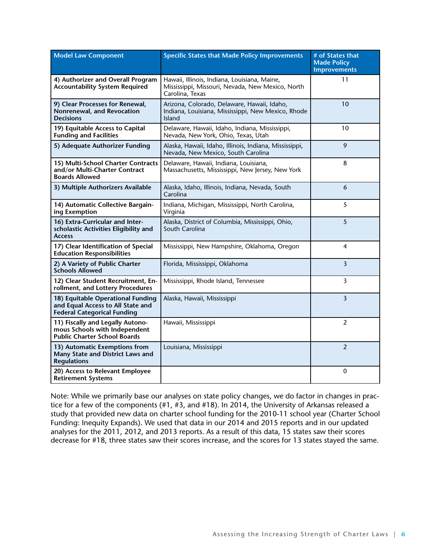| <b>Model Law Component</b>                                                                                   | <b>Specific States that Made Policy Improvements</b>                                                                | # of States that<br><b>Made Policy</b><br><b>Improvements</b> |
|--------------------------------------------------------------------------------------------------------------|---------------------------------------------------------------------------------------------------------------------|---------------------------------------------------------------|
| 4) Authorizer and Overall Program<br><b>Accountability System Required</b>                                   | Hawaii, Illinois, Indiana, Louisiana, Maine,<br>Mississippi, Missouri, Nevada, New Mexico, North<br>Carolina, Texas | 11                                                            |
| 9) Clear Processes for Renewal,<br>Nonrenewal, and Revocation<br><b>Decisions</b>                            | Arizona, Colorado, Delaware, Hawaii, Idaho,<br>Indiana, Louisiana, Mississippi, New Mexico, Rhode<br>Island         | 10                                                            |
| 19) Equitable Access to Capital<br><b>Funding and Facilities</b>                                             | Delaware, Hawaii, Idaho, Indiana, Mississippi,<br>Nevada, New York, Ohio, Texas, Utah                               | 10                                                            |
| 5) Adequate Authorizer Funding                                                                               | Alaska, Hawaii, Idaho, Illinois, Indiana, Mississippi,<br>Nevada, New Mexico, South Carolina                        | 9                                                             |
| 15) Multi-School Charter Contracts<br>and/or Multi-Charter Contract<br><b>Boards Allowed</b>                 | Delaware, Hawaii, Indiana, Louisiana,<br>Massachusetts, Mississippi, New Jersey, New York                           | 8                                                             |
| 3) Multiple Authorizers Available                                                                            | Alaska, Idaho, Illinois, Indiana, Nevada, South<br>Carolina                                                         | 6                                                             |
| 14) Automatic Collective Bargain-<br>ing Exemption                                                           | Indiana, Michigan, Mississippi, North Carolina,<br>Virginia                                                         | 5                                                             |
| 16) Extra-Curricular and Inter-<br>scholastic Activities Eligibility and<br><b>Access</b>                    | Alaska, District of Columbia, Mississippi, Ohio,<br>South Carolina                                                  | 5                                                             |
| 17) Clear Identification of Special<br><b>Education Responsibilities</b>                                     | Mississippi, New Hampshire, Oklahoma, Oregon                                                                        | $\overline{4}$                                                |
| 2) A Variety of Public Charter<br><b>Schools Allowed</b>                                                     | Florida, Mississippi, Oklahoma                                                                                      |                                                               |
| 12) Clear Student Recruitment, En-<br>rollment, and Lottery Procedures                                       | Mississippi, Rhode Island, Tennessee                                                                                | 3                                                             |
| 18) Equitable Operational Funding<br>and Equal Access to All State and<br><b>Federal Categorical Funding</b> | Alaska, Hawaii, Mississippi                                                                                         | 3                                                             |
| 11) Fiscally and Legally Autono-<br>mous Schools with Independent<br><b>Public Charter School Boards</b>     | Hawaii, Mississippi                                                                                                 | $\overline{2}$                                                |
| 13) Automatic Exemptions from<br>Many State and District Laws and<br><b>Regulations</b>                      | Louisiana, Mississippi                                                                                              |                                                               |
| 20) Access to Relevant Employee<br><b>Retirement Systems</b>                                                 |                                                                                                                     | 0                                                             |

Note: While we primarily base our analyses on state policy changes, we do factor in changes in practice for a few of the components (#1, #3, and #18). In 2014, the University of Arkansas released a study that provided new data on charter school funding for the 2010-11 school year (Charter School Funding: Inequity Expands). We used that data in our 2014 and 2015 reports and in our updated analyses for the 2011, 2012, and 2013 reports. As a result of this data, 15 states saw their scores decrease for #18, three states saw their scores increase, and the scores for 13 states stayed the same.